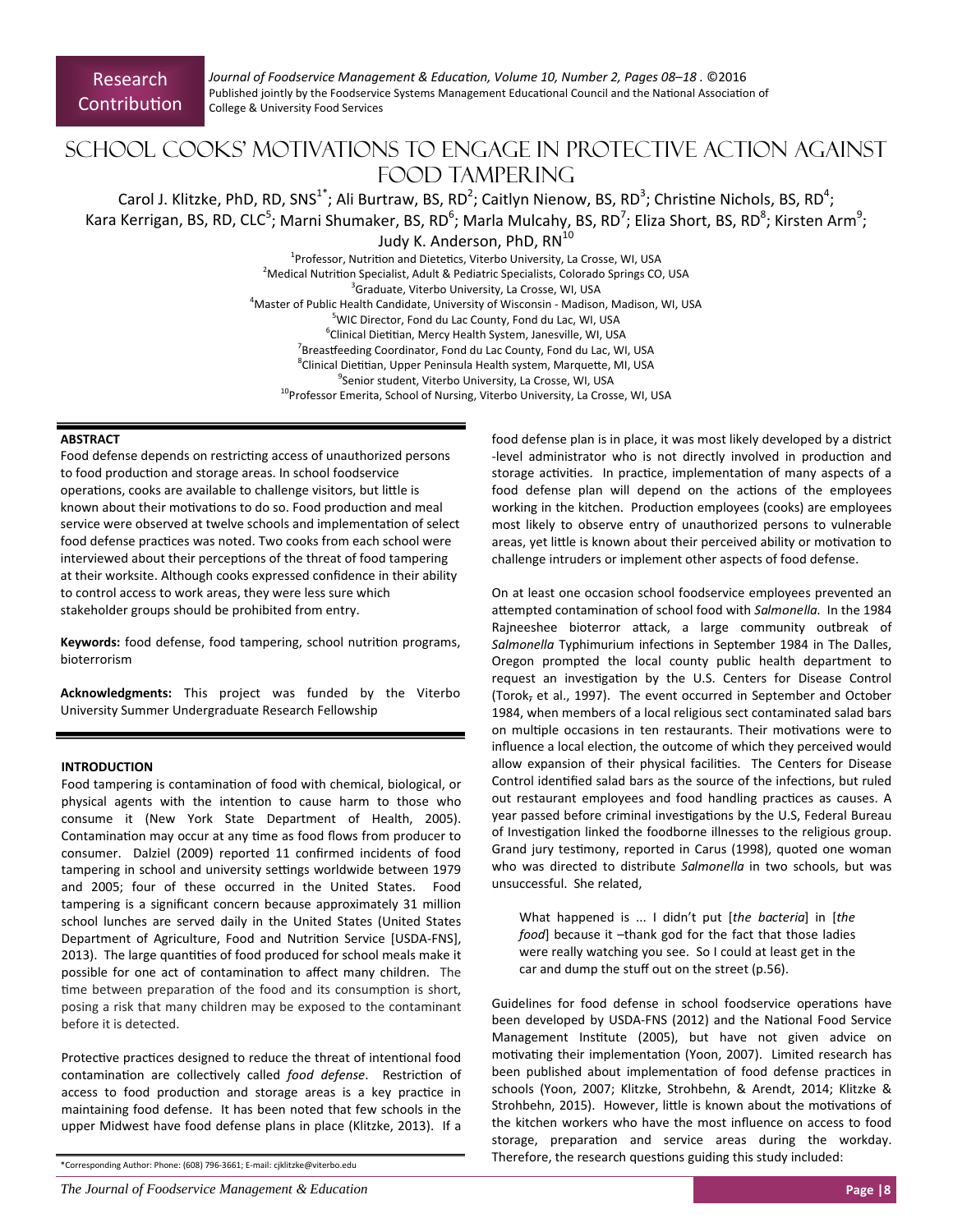*Journal of Foodservice Management & EducaƟon, Volume 10, Number 2, Pages 08–18 .* ©2016 Published jointly by the Foodservice Systems Management Educational Council and the National Association of College & University Food Services

# School Cooks' Motivations to Engage in Protective Action against FOOD TAMPER ING

Carol J. Klitzke, PhD, RD, SNS<sup>1\*</sup>; Ali Burtraw, BS, RD<sup>2</sup>; Caitlyn Nienow, BS, RD<sup>3</sup>; Christine Nichols, BS, RD<sup>4</sup>;

Kara Kerrigan, BS, RD, CLC<sup>5</sup>; Marni Shumaker, BS, RD<sup>6</sup>; Marla Mulcahy, BS, RD<sup>7</sup>; Eliza Short, BS, RD<sup>8</sup>; Kirsten Arm<sup>9</sup>;

Judy K. Anderson, PhD, RN<sup>10</sup>

<sup>1</sup>Professor, Nutrition and Dietetics, Viterbo University, La Crosse, WI, USA <sup>2</sup>Medical Nutrition Specialist, Adult & Pediatric Specialists, Colorado Springs CO, USA <sup>3</sup>Graduate, Viterbo University, La Crosse, WI, USA 4 Master of Public Health Candidate, University of Wisconsin ‐ Madison, Madison, WI, USA <sup>5</sup>WIC Director, Fond du Lac County, Fond du Lac, WI, USA <sup>6</sup>Clinical Dietitian, Mercy Health System, Janesville, WI, USA <sup>7</sup>Breastfeeding Coordinator, Fond du Lac County, Fond du Lac, WI, USA <sup>8</sup>Clinical Dietitian, Upper Peninsula Health system, Marquette, MI, USA 9 Senior student, Viterbo University, La Crosse, WI, USA <sup>10</sup>Professor Emerita, School of Nursing, Viterbo University, La Crosse, WI, USA

#### **ABSTRACT**

Food defense depends on restricting access of unauthorized persons to food production and storage areas. In school foodservice operations, cooks are available to challenge visitors, but little is known about their motivations to do so. Food production and meal service were observed at twelve schools and implementation of select food defense practices was noted. Two cooks from each school were interviewed about their perceptions of the threat of food tampering at their worksite. Although cooks expressed confidence in their ability to control access to work areas, they were less sure which stakeholder groups should be prohibited from entry.

Keywords: food defense, food tampering, school nutrition programs, bioterrorism

**Acknowledgments:** This project was funded by the Viterbo University Summer Undergraduate Research Fellowship

#### **INTRODUCTION**

Food tampering is contamination of food with chemical, biological, or physical agents with the intention to cause harm to those who consume it (New York State Department of Health, 2005). Contamination may occur at any time as food flows from producer to consumer. Dalziel (2009) reported 11 confirmed incidents of food tampering in school and university settings worldwide between 1979 and 2005; four of these occurred in the United States. Food tampering is a significant concern because approximately 31 million school lunches are served daily in the United States (United States Department of Agriculture, Food and Nutrition Service [USDA-FNS], 2013). The large quantities of food produced for school meals make it possible for one act of contamination to affect many children. The time between preparation of the food and its consumption is short, posing a risk that many children may be exposed to the contaminant before it is detected.

Protective practices designed to reduce the threat of intentional food contamination are collectively called *food defense*. Restriction of access to food production and storage areas is a key practice in maintaining food defense. It has been noted that few schools in the upper Midwest have food defense plans in place (Klitzke, 2013). If a

\*Corresponding Author: Phone: (608) 796‐3661; E‐mail: cjklitzke@viterbo.edu

*The Journal of Foodservice Management & Education* **Page |8** 

food defense plan is in place, it was most likely developed by a district -level administrator who is not directly involved in production and storage activities. In practice, implementation of many aspects of a food defense plan will depend on the actions of the employees working in the kitchen. Production employees (cooks) are employees most likely to observe entry of unauthorized persons to vulnerable areas, yet little is known about their perceived ability or motivation to challenge intruders or implement other aspects of food defense.

On at least one occasion school foodservice employees prevented an attempted contamination of school food with *Salmonella*. In the 1984 Rajneeshee bioterror attack, a large community outbreak of Salmonella Typhimurium infections in September 1984 in The Dalles, Oregon prompted the local county public health department to request an investigation by the U.S. Centers for Disease Control (Torok, et al., 1997). The event occurred in September and October 1984, when members of a local religious sect contaminated salad bars on multiple occasions in ten restaurants. Their motivations were to influence a local election, the outcome of which they perceived would allow expansion of their physical facilities. The Centers for Disease Control identified salad bars as the source of the infections, but ruled out restaurant employees and food handling practices as causes. A year passed before criminal investigations by the U.S, Federal Bureau of Investigation linked the foodborne illnesses to the religious group. Grand jury testimony, reported in Carus (1998), quoted one woman who was directed to distribute *Salmonella* in two schools, but was unsuccessful. She related,

What happened is ... I didn't put [*the bacteria*] in [*the food*] because it –thank god for the fact that those ladies were really watching you see. So I could at least get in the car and dump the stuff out on the street (p.56).

Guidelines for food defense in school foodservice operations have been developed by USDA-FNS (2012) and the National Food Service Management Institute (2005), but have not given advice on motivating their implementation (Yoon, 2007). Limited research has been published about implementation of food defense practices in schools (Yoon, 2007; Klitzke, Strohbehn, & Arendt, 2014; Klitzke & Strohbehn, 2015). However, little is known about the motivations of the kitchen workers who have the most influence on access to food storage, preparation and service areas during the workday. Therefore, the research questions guiding this study included: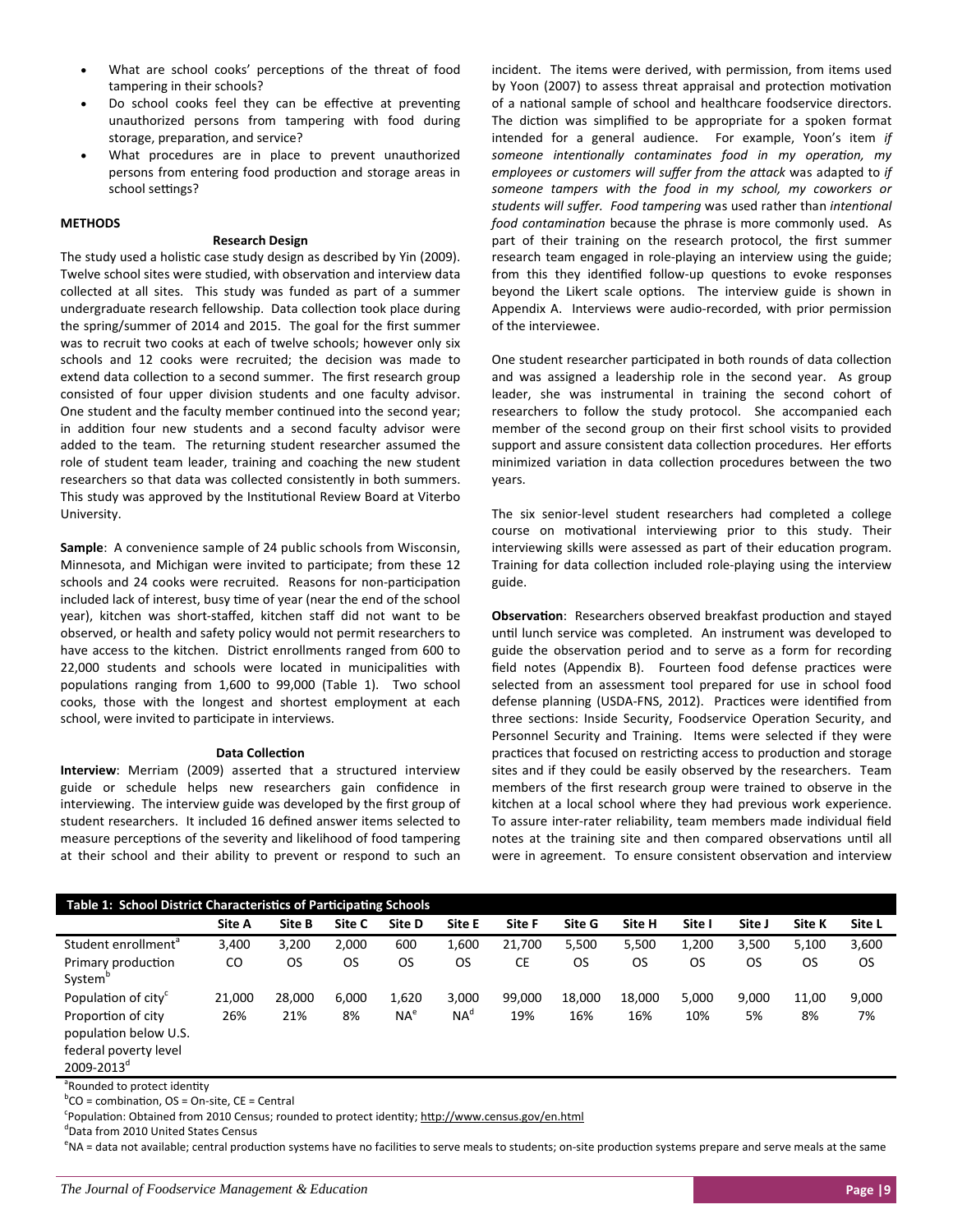- What are school cooks' perceptions of the threat of food tampering in their schools?
- Do school cooks feel they can be effective at preventing unauthorized persons from tampering with food during storage, preparation, and service?
- What procedures are in place to prevent unauthorized persons from entering food production and storage areas in school settings?

## **METHODS**

#### **Research Design**

The study used a holistic case study design as described by Yin (2009). Twelve school sites were studied, with observation and interview data collected at all sites. This study was funded as part of a summer undergraduate research fellowship. Data collection took place during the spring/summer of 2014 and 2015. The goal for the first summer was to recruit two cooks at each of twelve schools; however only six schools and 12 cooks were recruited; the decision was made to extend data collection to a second summer. The first research group consisted of four upper division students and one faculty advisor. One student and the faculty member continued into the second year; in addition four new students and a second faculty advisor were added to the team. The returning student researcher assumed the role of student team leader, training and coaching the new student researchers so that data was collected consistently in both summers. This study was approved by the Institutional Review Board at Viterbo University.

**Sample**: A convenience sample of 24 public schools from Wisconsin, Minnesota, and Michigan were invited to participate; from these 12 schools and 24 cooks were recruited. Reasons for non-participation included lack of interest, busy time of year (near the end of the school year), kitchen was short‐staffed, kitchen staff did not want to be observed, or health and safety policy would not permit researchers to have access to the kitchen. District enrollments ranged from 600 to 22,000 students and schools were located in municipalities with populations ranging from 1,600 to 99,000 (Table 1). Two school cooks, those with the longest and shortest employment at each school, were invited to participate in interviews.

#### **Data CollecƟon**

**Interview**: Merriam (2009) asserted that a structured interview guide or schedule helps new researchers gain confidence in interviewing. The interview guide was developed by the first group of student researchers. It included 16 defined answer items selected to measure perceptions of the severity and likelihood of food tampering at their school and their ability to prevent or respond to such an incident. The items were derived, with permission, from items used by Yoon (2007) to assess threat appraisal and protection motivation of a national sample of school and healthcare foodservice directors. The diction was simplified to be appropriate for a spoken format intended for a general audience. For example, Yoon's item *if someone intenƟonally contaminates food in my operaƟon, my employees or customers will suffer from the aƩack* was adapted to *if someone tampers with the food in my school, my coworkers or students will suffer. Food tampering* was used rather than *intenƟonal food contamination* because the phrase is more commonly used. As part of their training on the research protocol, the first summer research team engaged in role‐playing an interview using the guide; from this they identified follow-up questions to evoke responses beyond the Likert scale options. The interview guide is shown in Appendix A. Interviews were audio-recorded, with prior permission of the interviewee.

One student researcher participated in both rounds of data collection and was assigned a leadership role in the second year. As group leader, she was instrumental in training the second cohort of researchers to follow the study protocol. She accompanied each member of the second group on their first school visits to provided support and assure consistent data collection procedures. Her efforts minimized variation in data collection procedures between the two years.

The six senior-level student researchers had completed a college course on motivational interviewing prior to this study. Their interviewing skills were assessed as part of their education program. Training for data collection included role-playing using the interview guide.

**Observation:** Researchers observed breakfast production and stayed until lunch service was completed. An instrument was developed to guide the observation period and to serve as a form for recording field notes (Appendix B). Fourteen food defense practices were selected from an assessment tool prepared for use in school food defense planning (USDA-FNS, 2012). Practices were identified from three sections: Inside Security, Foodservice Operation Security, and Personnel Security and Training. Items were selected if they were practices that focused on restricting access to production and storage sites and if they could be easily observed by the researchers. Team members of the first research group were trained to observe in the kitchen at a local school where they had previous work experience. To assure inter‐rater reliability, team members made individual field notes at the training site and then compared observations until all were in agreement. To ensure consistent observation and interview

| Table 1: School District Characteristics of Participating Schools    |        |        |           |                 |                 |        |        |        |        |        |        |        |
|----------------------------------------------------------------------|--------|--------|-----------|-----------------|-----------------|--------|--------|--------|--------|--------|--------|--------|
|                                                                      | Site A | Site B | Site C    | Site D          | Site E          | Site F | Site G | Site H | Site I | Site J | Site K | Site L |
| Student enrollment <sup>®</sup>                                      | 3,400  | 3,200  | 2.000     | 600             | 1,600           | 21,700 | 5,500  | 5,500  | 1,200  | 3,500  | 5,100  | 3,600  |
| Primary production<br>System <sup>o</sup>                            | CO     | OS     | <b>OS</b> | <b>OS</b>       | OS              | СE     | OS     | OS     | OS     | OS     | OS     | OS     |
| Population of city <sup>c</sup>                                      | 21,000 | 28.000 | 6.000     | 1,620           | 3.000           | 99,000 | 18.000 | 18.000 | 5,000  | 9.000  | 11.00  | 9,000  |
| Proportion of city<br>population below U.S.<br>federal poverty level | 26%    | 21%    | 8%        | NA <sup>e</sup> | NA <sup>d</sup> | 19%    | 16%    | 16%    | 10%    | 5%     | 8%     | 7%     |

2009-2013<sup>d</sup>

<sup>a</sup>Rounded to protect identity

 ${}^{b}CO =$  combination, OS = On-site, CE = Central

Population: Obtained from 2010 Census; rounded to protect identity; http://www.census.gov/en.html<sup>c</sup>

d Data from 2010 United States Census

eNA = data not available; central production systems have no facilities to serve meals to students; on-site production systems prepare and serve meals at the same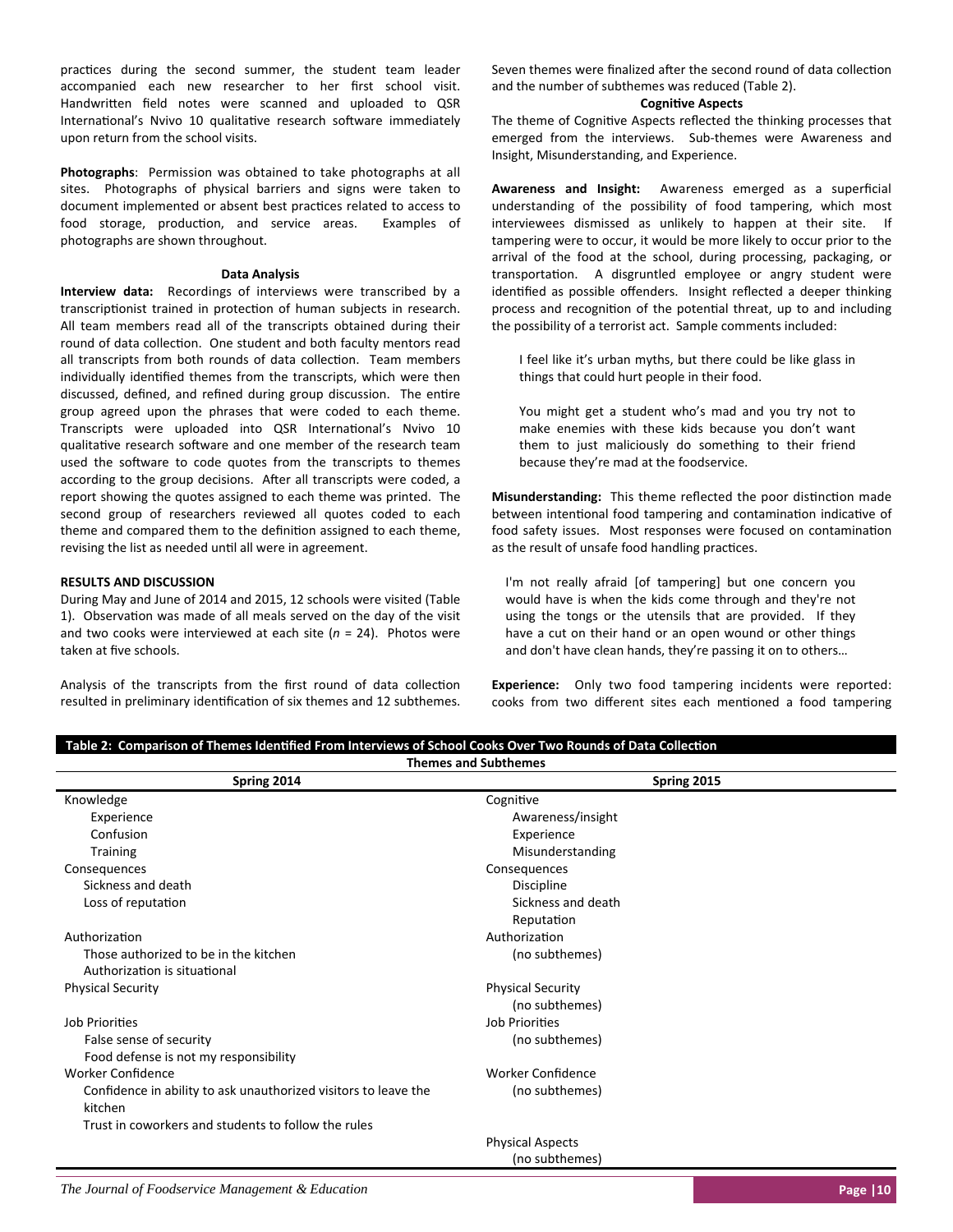practices during the second summer, the student team leader accompanied each new researcher to her first school visit. Handwritten field notes were scanned and uploaded to QSR International's Nvivo 10 qualitative research software immediately upon return from the school visits.

Photographs: Permission was obtained to take photographs at all sites. Photographs of physical barriers and signs were taken to document implemented or absent best practices related to access to food storage, production, and service areas. Examples of photographs are shown throughout.

#### **Data Analysis**

**Interview data:** Recordings of interviews were transcribed by a transcriptionist trained in protection of human subjects in research. All team members read all of the transcripts obtained during their round of data collection. One student and both faculty mentors read all transcripts from both rounds of data collection. Team members individually identified themes from the transcripts, which were then discussed, defined, and refined during group discussion. The entire group agreed upon the phrases that were coded to each theme. Transcripts were uploaded into QSR International's Nvivo 10 qualitative research software and one member of the research team used the software to code quotes from the transcripts to themes according to the group decisions. After all transcripts were coded, a report showing the quotes assigned to each theme was printed. The second group of researchers reviewed all quotes coded to each theme and compared them to the definition assigned to each theme, revising the list as needed until all were in agreement.

#### **RESULTS AND DISCUSSION**

During May and June of 2014 and 2015, 12 schools were visited (Table 1). Observation was made of all meals served on the day of the visit and two cooks were interviewed at each site (*n* = 24). Photos were taken at five schools.

Analysis of the transcripts from the first round of data collection resulted in preliminary identification of six themes and 12 subthemes. Seven themes were finalized after the second round of data collection and the number of subthemes was reduced (Table 2).

#### **CogniƟve Aspects**

The theme of Cognitive Aspects reflected the thinking processes that emerged from the interviews. Sub-themes were Awareness and Insight, Misunderstanding, and Experience.

**Awareness and Insight:** Awareness emerged as a superficial understanding of the possibility of food tampering, which most interviewees dismissed as unlikely to happen at their site. If tampering were to occur, it would be more likely to occur prior to the arrival of the food at the school, during processing, packaging, or transportation. A disgruntled employee or angry student were identified as possible offenders. Insight reflected a deeper thinking process and recognition of the potential threat, up to and including the possibility of a terrorist act. Sample comments included:

I feel like it's urban myths, but there could be like glass in things that could hurt people in their food.

You might get a student who's mad and you try not to make enemies with these kids because you don't want them to just maliciously do something to their friend because they're mad at the foodservice.

**Misunderstanding:** This theme reflected the poor distinction made between intentional food tampering and contamination indicative of food safety issues. Most responses were focused on contamination as the result of unsafe food handling practices.

I'm not really afraid [of tampering] but one concern you would have is when the kids come through and they're not using the tongs or the utensils that are provided. If they have a cut on their hand or an open wound or other things and don't have clean hands, they're passing it on to others…

**Experience:** Only two food tampering incidents were reported: cooks from two different sites each mentioned a food tampering

| <b>Themes and Subthemes</b>                                     |                          |  |  |  |  |  |
|-----------------------------------------------------------------|--------------------------|--|--|--|--|--|
| Spring 2014                                                     | Spring 2015              |  |  |  |  |  |
| Knowledge                                                       | Cognitive                |  |  |  |  |  |
| Experience                                                      | Awareness/insight        |  |  |  |  |  |
| Confusion                                                       | Experience               |  |  |  |  |  |
| <b>Training</b>                                                 | Misunderstanding         |  |  |  |  |  |
| Consequences                                                    | Consequences             |  |  |  |  |  |
| Sickness and death                                              | <b>Discipline</b>        |  |  |  |  |  |
| Loss of reputation                                              | Sickness and death       |  |  |  |  |  |
|                                                                 | Reputation               |  |  |  |  |  |
| Authorization                                                   | Authorization            |  |  |  |  |  |
| Those authorized to be in the kitchen                           | (no subthemes)           |  |  |  |  |  |
| Authorization is situational                                    |                          |  |  |  |  |  |
| <b>Physical Security</b>                                        | <b>Physical Security</b> |  |  |  |  |  |
|                                                                 | (no subthemes)           |  |  |  |  |  |
| Job Priorities                                                  | Job Priorities           |  |  |  |  |  |
| False sense of security                                         | (no subthemes)           |  |  |  |  |  |
| Food defense is not my responsibility                           |                          |  |  |  |  |  |
| <b>Worker Confidence</b>                                        | <b>Worker Confidence</b> |  |  |  |  |  |
| Confidence in ability to ask unauthorized visitors to leave the | (no subthemes)           |  |  |  |  |  |
| kitchen                                                         |                          |  |  |  |  |  |
| Trust in coworkers and students to follow the rules             |                          |  |  |  |  |  |
|                                                                 | <b>Physical Aspects</b>  |  |  |  |  |  |
|                                                                 | (no subthemes)           |  |  |  |  |  |

Table 2: Comparison of Themes Identified From Interviews of School Cooks Over Two Rounds of Data Collection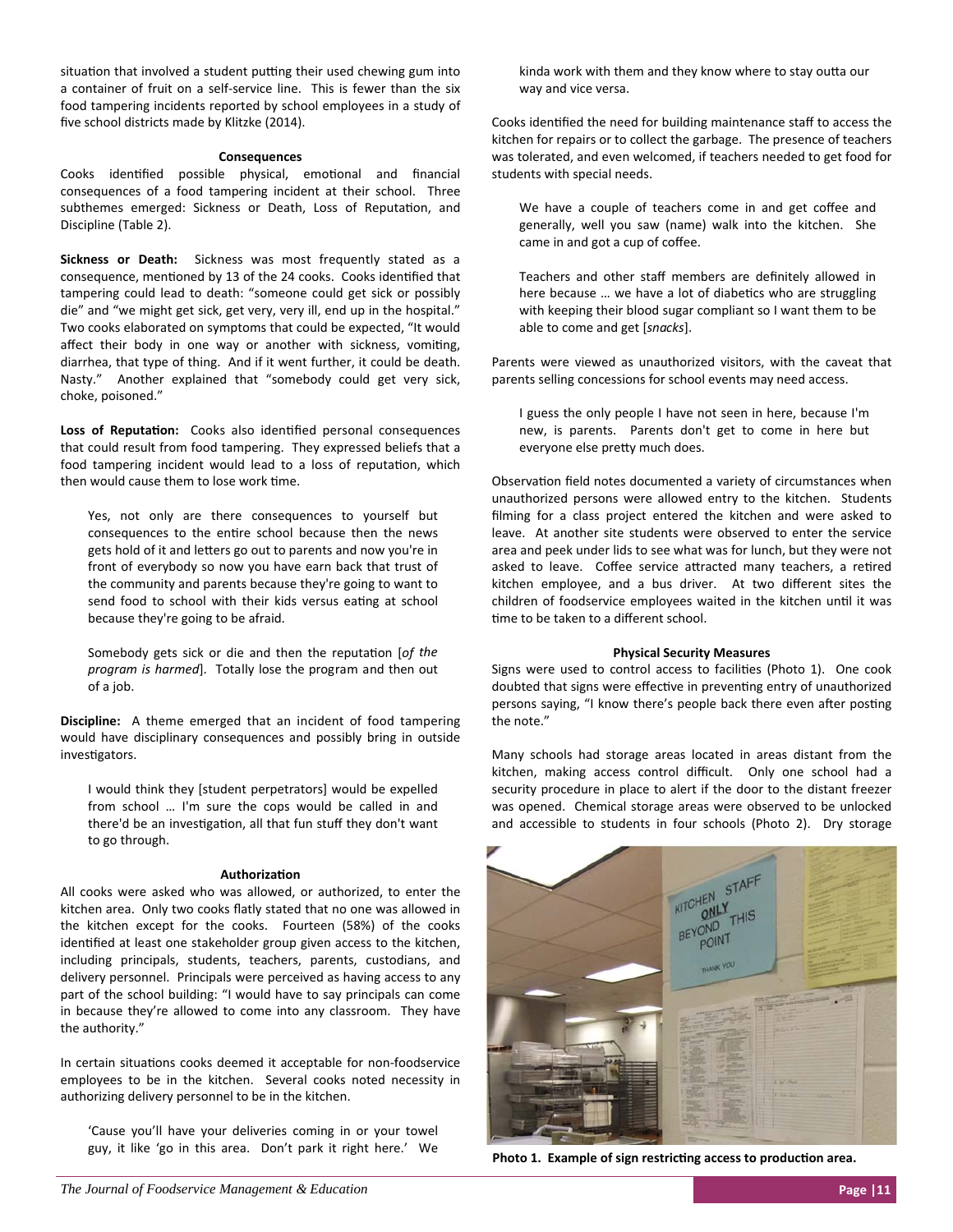situation that involved a student putting their used chewing gum into a container of fruit on a self‐service line. This is fewer than the six food tampering incidents reported by school employees in a study of five school districts made by Klitzke (2014).

#### **Consequences**

Cooks identified possible physical, emotional and financial consequences of a food tampering incident at their school. Three subthemes emerged: Sickness or Death, Loss of Reputation, and Discipline (Table 2).

**Sickness or Death:** Sickness was most frequently stated as a consequence, mentioned by 13 of the 24 cooks. Cooks identified that tampering could lead to death: "someone could get sick or possibly die" and "we might get sick, get very, very ill, end up in the hospital." Two cooks elaborated on symptoms that could be expected, "It would affect their body in one way or another with sickness, vomiting, diarrhea, that type of thing. And if it went further, it could be death. Nasty." Another explained that "somebody could get very sick, choke, poisoned."

Loss of Reputation: Cooks also identified personal consequences that could result from food tampering. They expressed beliefs that a food tampering incident would lead to a loss of reputation, which then would cause them to lose work time.

Yes, not only are there consequences to yourself but consequences to the entire school because then the news gets hold of it and letters go out to parents and now you're in front of everybody so now you have earn back that trust of the community and parents because they're going to want to send food to school with their kids versus eating at school because they're going to be afraid.

Somebody gets sick or die and then the reputation [of the *program is harmed*]. Totally lose the program and then out of a job.

**Discipline:** A theme emerged that an incident of food tampering would have disciplinary consequences and possibly bring in outside investigators.

I would think they [student perpetrators] would be expelled from school … I'm sure the cops would be called in and there'd be an investigation, all that fun stuff they don't want to go through.

#### **AuthorizaƟon**

All cooks were asked who was allowed, or authorized, to enter the kitchen area. Only two cooks flatly stated that no one was allowed in the kitchen except for the cooks. Fourteen (58%) of the cooks identified at least one stakeholder group given access to the kitchen, including principals, students, teachers, parents, custodians, and delivery personnel. Principals were perceived as having access to any part of the school building: "I would have to say principals can come in because they're allowed to come into any classroom. They have the authority."

In certain situations cooks deemed it acceptable for non-foodservice employees to be in the kitchen. Several cooks noted necessity in authorizing delivery personnel to be in the kitchen.

'Cause you'll have your deliveries coming in or your towel guy, it like 'go in this area. Don't park it right here.' We kinda work with them and they know where to stay outta our way and vice versa.

Cooks identified the need for building maintenance staff to access the kitchen for repairs or to collect the garbage. The presence of teachers was tolerated, and even welcomed, if teachers needed to get food for students with special needs.

We have a couple of teachers come in and get coffee and generally, well you saw (name) walk into the kitchen. She came in and got a cup of coffee.

Teachers and other staff members are definitely allowed in here because ... we have a lot of diabetics who are struggling with keeping their blood sugar compliant so I want them to be able to come and get [*snacks*].

Parents were viewed as unauthorized visitors, with the caveat that parents selling concessions for school events may need access.

I guess the only people I have not seen in here, because I'm new, is parents. Parents don't get to come in here but everyone else preƩy much does.

Observation field notes documented a variety of circumstances when unauthorized persons were allowed entry to the kitchen. Students filming for a class project entered the kitchen and were asked to leave. At another site students were observed to enter the service area and peek under lids to see what was for lunch, but they were not asked to leave. Coffee service attracted many teachers, a retired kitchen employee, and a bus driver. At two different sites the children of foodservice employees waited in the kitchen until it was time to be taken to a different school.

#### **Physical Security Measures**

Signs were used to control access to facilities (Photo 1). One cook doubted that signs were effective in preventing entry of unauthorized persons saying, "I know there's people back there even after posting the note."

Many schools had storage areas located in areas distant from the kitchen, making access control difficult. Only one school had a security procedure in place to alert if the door to the distant freezer was opened. Chemical storage areas were observed to be unlocked and accessible to students in four schools (Photo 2). Dry storage



**Photo 1. Example of sign restricting access to production area.**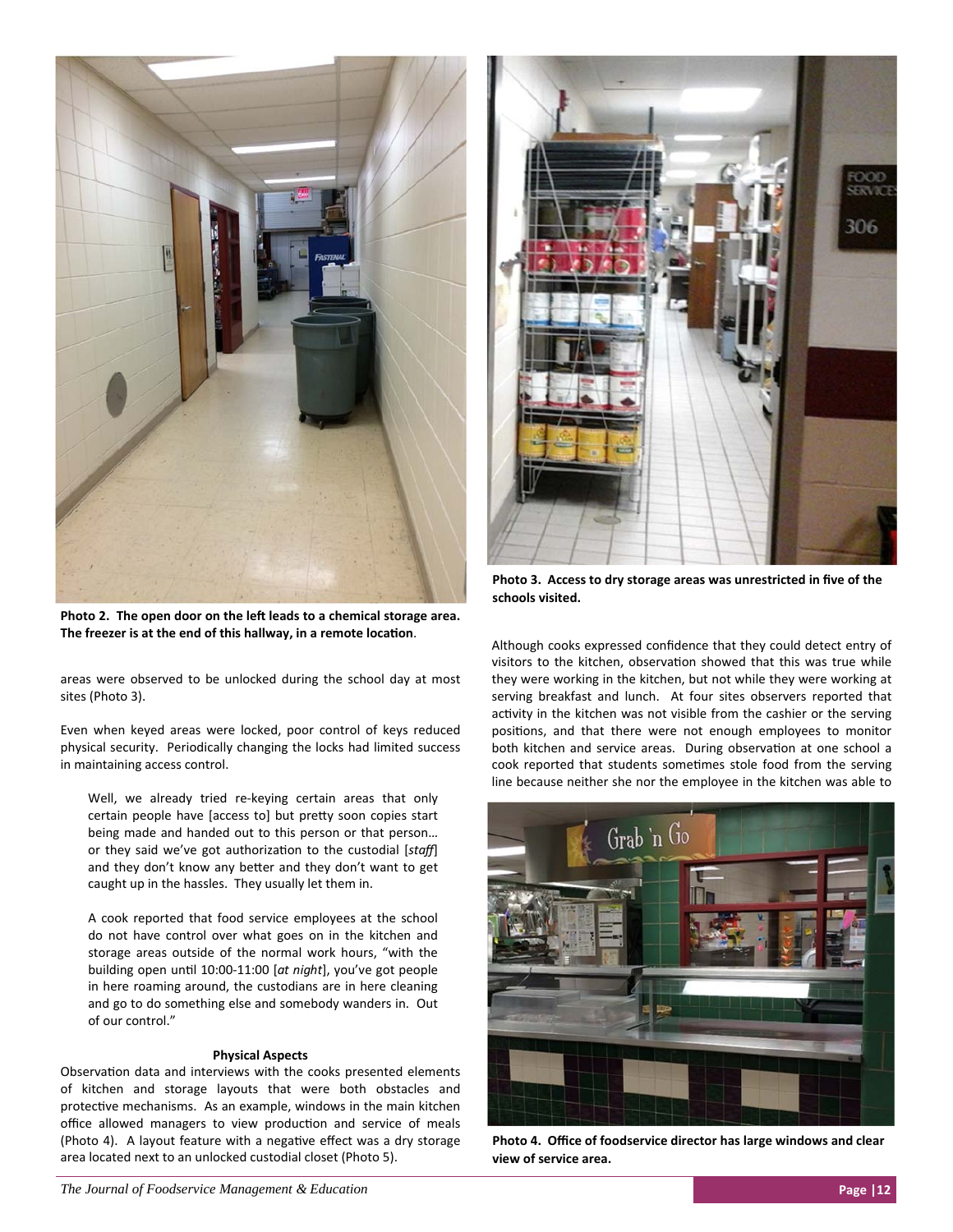

Photo 2. The open door on the left leads to a chemical storage area. The freezer is at the end of this hallway, in a remote location.

areas were observed to be unlocked during the school day at most sites (Photo 3).

Even when keyed areas were locked, poor control of keys reduced physical security. Periodically changing the locks had limited success in maintaining access control.

Well, we already tried re-keying certain areas that only certain people have [access to] but pretty soon copies start being made and handed out to this person or that person… or they said we've got authorization to the custodial [staff] and they don't know any better and they don't want to get caught up in the hassles. They usually let them in.

A cook reported that food service employees at the school do not have control over what goes on in the kitchen and storage areas outside of the normal work hours, "with the building open unƟl 10:00‐11:00 [*at night*], you've got people in here roaming around, the custodians are in here cleaning and go to do something else and somebody wanders in. Out of our control."

#### **Physical Aspects**

Observation data and interviews with the cooks presented elements of kitchen and storage layouts that were both obstacles and protective mechanisms. As an example, windows in the main kitchen office allowed managers to view production and service of meals (Photo 4). A layout feature with a negative effect was a dry storage area located next to an unlocked custodial closet (Photo 5).



**Photo 3. Access to dry storage areas was unrestricted in five of the schools visited.** 

Although cooks expressed confidence that they could detect entry of visitors to the kitchen, observation showed that this was true while they were working in the kitchen, but not while they were working at serving breakfast and lunch. At four sites observers reported that activity in the kitchen was not visible from the cashier or the serving positions, and that there were not enough employees to monitor both kitchen and service areas. During observation at one school a cook reported that students sometimes stole food from the serving line because neither she nor the employee in the kitchen was able to



**Photo 4. Office of foodservice director has large windows and clear view of service area.**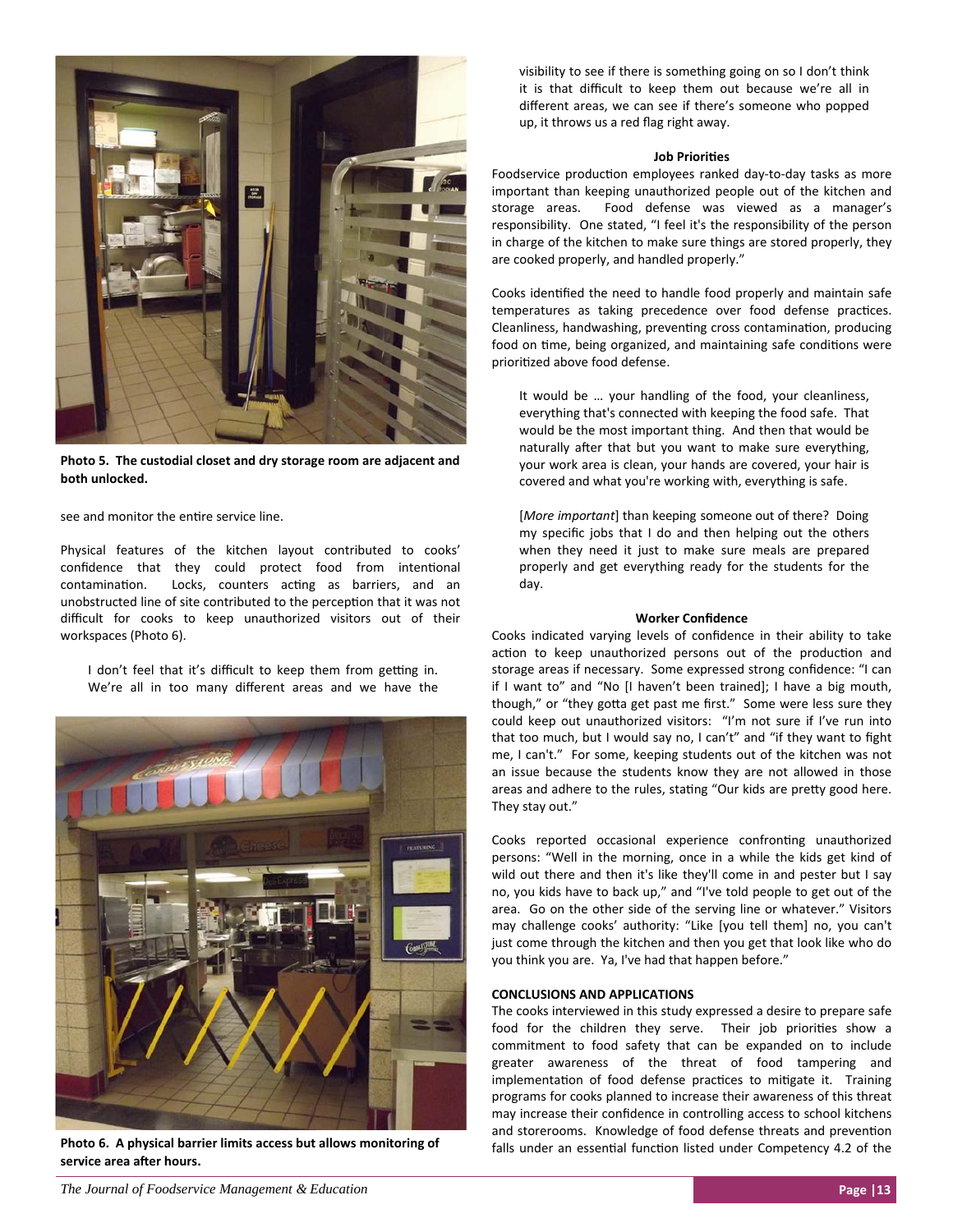

**Photo 5. The custodial closet and dry storage room are adjacent and both unlocked.** 

see and monitor the entire service line.

Physical features of the kitchen layout contributed to cooks' confidence that they could protect food from intentional contamination. Locks, counters acting as barriers, and an unobstructed line of site contributed to the perception that it was not difficult for cooks to keep unauthorized visitors out of their workspaces (Photo 6).

I don't feel that it's difficult to keep them from getting in. We're all in too many different areas and we have the



**Photo 6. A physical barrier limits access but allows monitoring of**  service area after hours.

visibility to see if there is something going on so I don't think it is that difficult to keep them out because we're all in different areas, we can see if there's someone who popped up, it throws us a red flag right away.

#### **Job PrioriƟes**

Foodservice production employees ranked day-to-day tasks as more important than keeping unauthorized people out of the kitchen and storage areas. Food defense was viewed as a manager's responsibility. One stated, "I feel it's the responsibility of the person in charge of the kitchen to make sure things are stored properly, they are cooked properly, and handled properly."

Cooks identified the need to handle food properly and maintain safe temperatures as taking precedence over food defense practices. Cleanliness, handwashing, preventing cross contamination, producing food on time, being organized, and maintaining safe conditions were prioritized above food defense.

It would be … your handling of the food, your cleanliness, everything that's connected with keeping the food safe. That would be the most important thing. And then that would be naturally after that but you want to make sure everything, your work area is clean, your hands are covered, your hair is covered and what you're working with, everything is safe.

[*More important*] than keeping someone out of there? Doing my specific jobs that I do and then helping out the others when they need it just to make sure meals are prepared properly and get everything ready for the students for the day.

#### **Worker Confidence**

Cooks indicated varying levels of confidence in their ability to take action to keep unauthorized persons out of the production and storage areas if necessary. Some expressed strong confidence: "I can if I want to" and "No [I haven't been trained]; I have a big mouth, though," or "they gotta get past me first." Some were less sure they could keep out unauthorized visitors: "I'm not sure if I've run into that too much, but I would say no, I can't" and "if they want to fight me, I can't." For some, keeping students out of the kitchen was not an issue because the students know they are not allowed in those areas and adhere to the rules, stating "Our kids are pretty good here. They stay out."

Cooks reported occasional experience confronting unauthorized persons: "Well in the morning, once in a while the kids get kind of wild out there and then it's like they'll come in and pester but I say no, you kids have to back up," and "I've told people to get out of the area. Go on the other side of the serving line or whatever." Visitors may challenge cooks' authority: "Like [you tell them] no, you can't just come through the kitchen and then you get that look like who do you think you are. Ya, I've had that happen before."

#### **CONCLUSIONS AND APPLICATIONS**

The cooks interviewed in this study expressed a desire to prepare safe food for the children they serve. Their job priorities show a commitment to food safety that can be expanded on to include greater awareness of the threat of food tampering and implementation of food defense practices to mitigate it. Training programs for cooks planned to increase their awareness of this threat may increase their confidence in controlling access to school kitchens and storerooms. Knowledge of food defense threats and prevention falls under an essential function listed under Competency 4.2 of the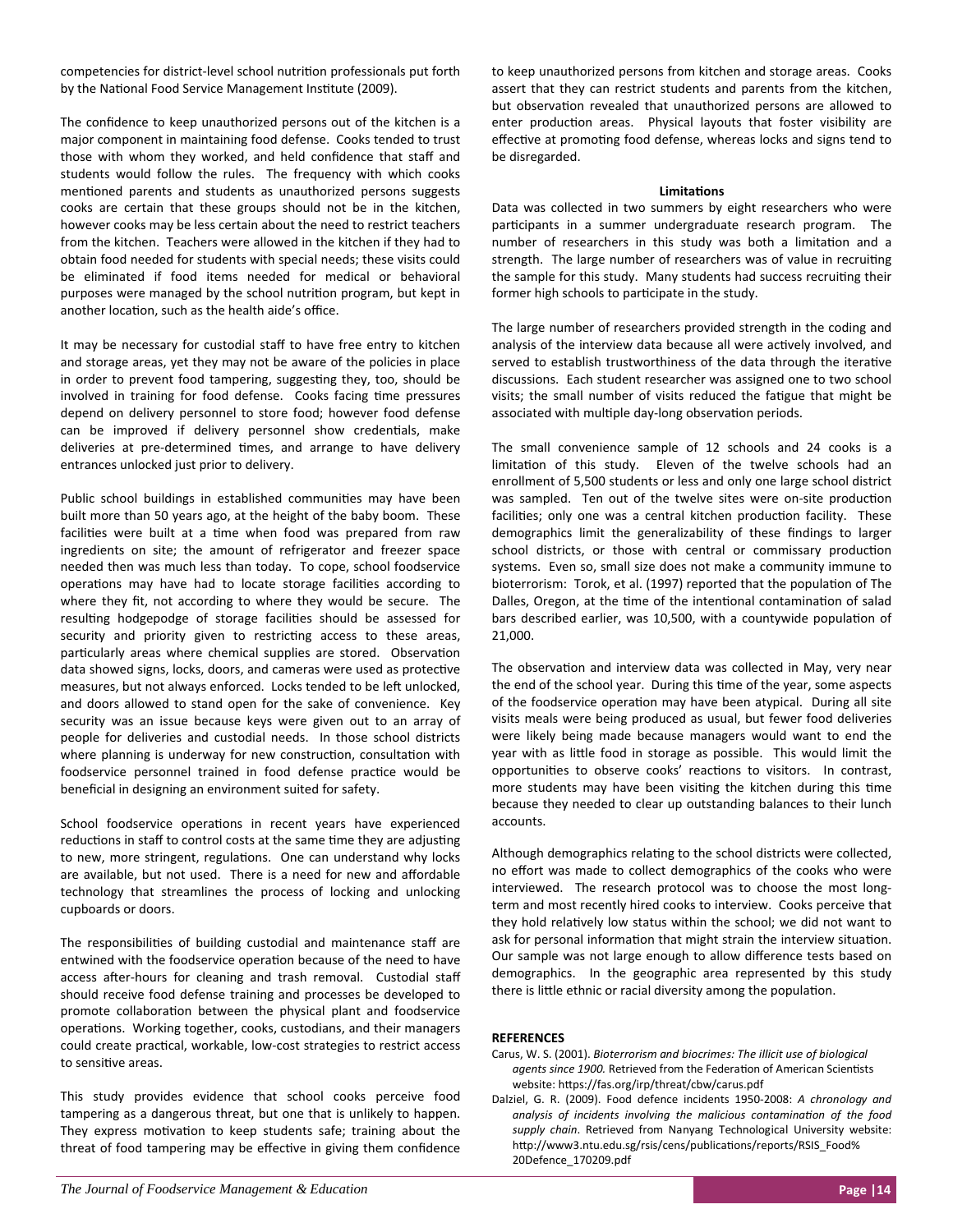competencies for district-level school nutrition professionals put forth by the National Food Service Management Institute (2009).

The confidence to keep unauthorized persons out of the kitchen is a major component in maintaining food defense. Cooks tended to trust those with whom they worked, and held confidence that staff and students would follow the rules. The frequency with which cooks mentioned parents and students as unauthorized persons suggests cooks are certain that these groups should not be in the kitchen, however cooks may be less certain about the need to restrict teachers from the kitchen. Teachers were allowed in the kitchen if they had to obtain food needed for students with special needs; these visits could be eliminated if food items needed for medical or behavioral purposes were managed by the school nutrition program, but kept in another location, such as the health aide's office.

It may be necessary for custodial staff to have free entry to kitchen and storage areas, yet they may not be aware of the policies in place in order to prevent food tampering, suggesting they, too, should be involved in training for food defense. Cooks facing time pressures depend on delivery personnel to store food; however food defense can be improved if delivery personnel show credentials, make deliveries at pre-determined times, and arrange to have delivery entrances unlocked just prior to delivery.

Public school buildings in established communities may have been built more than 50 years ago, at the height of the baby boom. These facilities were built at a time when food was prepared from raw ingredients on site; the amount of refrigerator and freezer space needed then was much less than today. To cope, school foodservice operations may have had to locate storage facilities according to where they fit, not according to where they would be secure. The resulting hodgepodge of storage facilities should be assessed for security and priority given to restricting access to these areas, particularly areas where chemical supplies are stored. Observation data showed signs, locks, doors, and cameras were used as protective measures, but not always enforced. Locks tended to be left unlocked, and doors allowed to stand open for the sake of convenience. Key security was an issue because keys were given out to an array of people for deliveries and custodial needs. In those school districts where planning is underway for new construction, consultation with foodservice personnel trained in food defense practice would be beneficial in designing an environment suited for safety.

School foodservice operations in recent years have experienced reductions in staff to control costs at the same time they are adjusting to new, more stringent, regulations. One can understand why locks are available, but not used. There is a need for new and affordable technology that streamlines the process of locking and unlocking cupboards or doors.

The responsibilities of building custodial and maintenance staff are entwined with the foodservice operation because of the need to have access after-hours for cleaning and trash removal. Custodial staff should receive food defense training and processes be developed to promote collaboration between the physical plant and foodservice operations. Working together, cooks, custodians, and their managers could create practical, workable, low-cost strategies to restrict access to sensitive areas.

This study provides evidence that school cooks perceive food tampering as a dangerous threat, but one that is unlikely to happen. They express motivation to keep students safe; training about the threat of food tampering may be effective in giving them confidence to keep unauthorized persons from kitchen and storage areas. Cooks assert that they can restrict students and parents from the kitchen, but observation revealed that unauthorized persons are allowed to enter production areas. Physical layouts that foster visibility are effective at promoting food defense, whereas locks and signs tend to be disregarded.

### **LimitaƟons**

Data was collected in two summers by eight researchers who were participants in a summer undergraduate research program. The number of researchers in this study was both a limitation and a strength. The large number of researchers was of value in recruiting the sample for this study. Many students had success recruiting their former high schools to participate in the study.

The large number of researchers provided strength in the coding and analysis of the interview data because all were actively involved, and served to establish trustworthiness of the data through the iterative discussions. Each student researcher was assigned one to two school visits; the small number of visits reduced the fatigue that might be associated with multiple day-long observation periods.

The small convenience sample of 12 schools and 24 cooks is a limitation of this study. Eleven of the twelve schools had an enrollment of 5,500 students or less and only one large school district was sampled. Ten out of the twelve sites were on-site production facilities; only one was a central kitchen production facility. These demographics limit the generalizability of these findings to larger school districts, or those with central or commissary production systems. Even so, small size does not make a community immune to bioterrorism: Torok, et al. (1997) reported that the population of The Dalles, Oregon, at the time of the intentional contamination of salad bars described earlier, was 10,500, with a countywide population of 21,000.

The observation and interview data was collected in May, very near the end of the school year. During this time of the year, some aspects of the foodservice operation may have been atypical. During all site visits meals were being produced as usual, but fewer food deliveries were likely being made because managers would want to end the year with as little food in storage as possible. This would limit the opportunities to observe cooks' reactions to visitors. In contrast, more students may have been visiting the kitchen during this time because they needed to clear up outstanding balances to their lunch accounts.

Although demographics relating to the school districts were collected, no effort was made to collect demographics of the cooks who were interviewed. The research protocol was to choose the most longterm and most recently hired cooks to interview. Cooks perceive that they hold relatively low status within the school; we did not want to ask for personal information that might strain the interview situation. Our sample was not large enough to allow difference tests based on demographics. In the geographic area represented by this study there is little ethnic or racial diversity among the population.

# **REFERENCES**

- Carus, W. S. (2001). *Bioterrorism and biocrimes: The illicit use of biological agents since 1900.* Retrieved from the Federation of American Scientists website: https://fas.org/irp/threat/cbw/carus.pdf
- Dalziel, G. R. (2009). Food defence incidents 1950‐2008: *A chronology and analysis of incidents involving the malicious contaminaƟon of the food supply chain*. Retrieved from Nanyang Technological University website: http://www3.ntu.edu.sg/rsis/cens/publications/reports/RSIS\_Food% 20Defence\_170209.pdf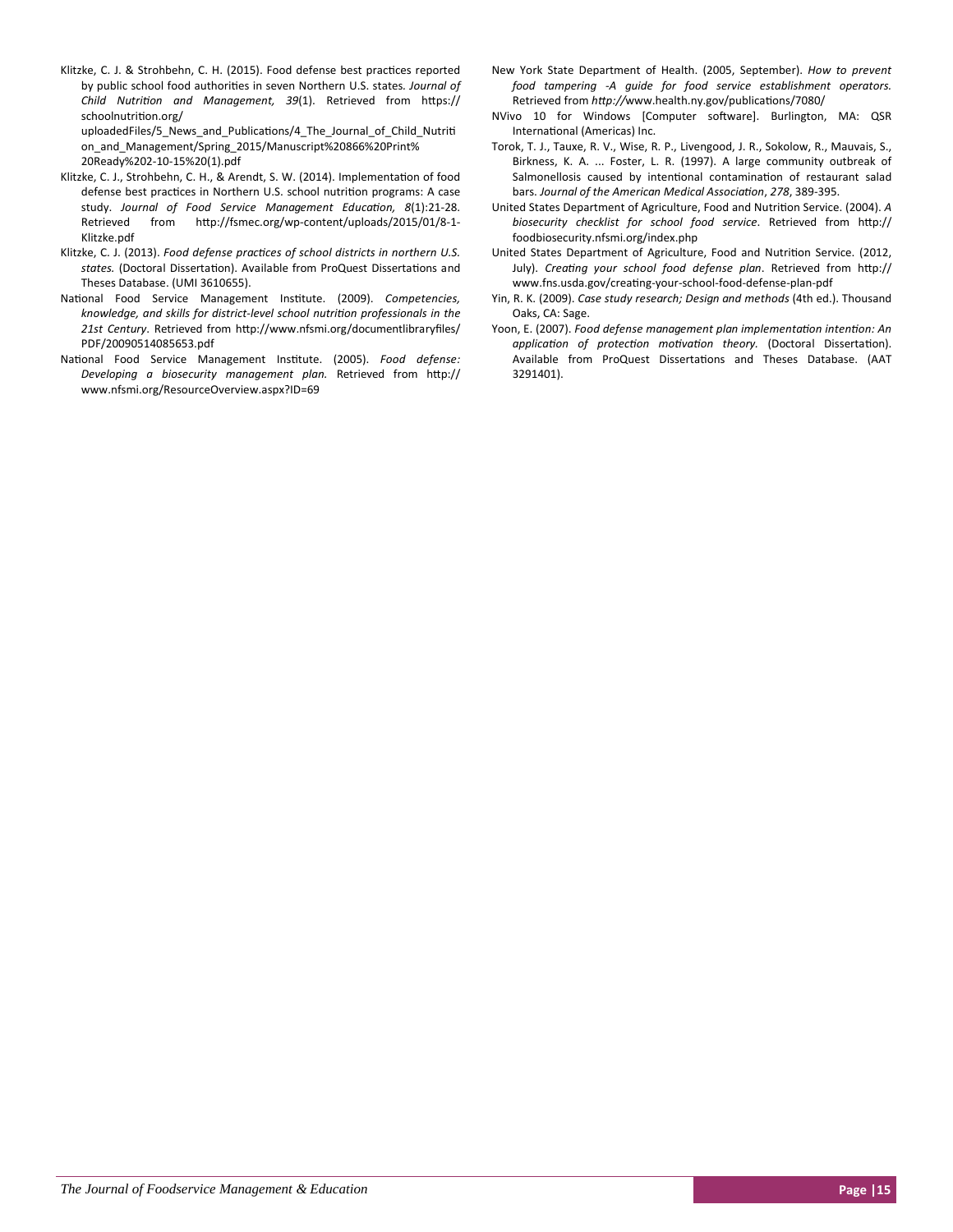Klitzke, C. J. & Strohbehn, C. H. (2015). Food defense best practices reported by public school food authorities in seven Northern U.S. states. *Journal of Child NutriƟon and Management, 39*(1). Retrieved from hƩps:// schoolnutrition.org/

uploadedFiles/5 News and Publications/4 The Journal of Child Nutriti on\_and\_Management/Spring\_2015/Manuscript%20866%20Print% 20Ready%202‐10‐15%20(1).pdf

- Klitzke, C. J., Strohbehn, C. H., & Arendt, S. W. (2014). Implementation of food defense best practices in Northern U.S. school nutrition programs: A case study. *Journal of Food Service Management EducaƟon, 8*(1):21‐28. Retrieved from http://fsmec.org/wp-content/uploads/2015/01/8-1-Klitzke.pdf
- Klitzke, C. J. (2013). *Food defense pracƟces of school districts in northern U.S.* states. (Doctoral Dissertation). Available from ProQuest Dissertations and Theses Database. (UMI 3610655).
- National Food Service Management Institute. (2009). Competencies, *knowledge, and skills for district‐level school nutriƟon professionals in the* 21st Century. Retrieved from http://www.nfsmi.org/documentlibraryfiles/ PDF/20090514085653.pdf
- National Food Service Management Institute. (2005). Food defense: *Developing a biosecurity management plan.* Retrieved from hƩp:// www.nfsmi.org/ResourceOverview.aspx?ID=69
- New York State Department of Health. (2005, September). *How to prevent food tampering ‐A guide for food service establishment operators.* Retrieved from http://www.health.ny.gov/publications/7080/
- NVivo 10 for Windows [Computer software]. Burlington, MA: QSR International (Americas) Inc.
- Torok, T. J., Tauxe, R. V., Wise, R. P., Livengood, J. R., Sokolow, R., Mauvais, S., Birkness, K. A. ... Foster, L. R. (1997). A large community outbreak of Salmonellosis caused by intentional contamination of restaurant salad bars. *Journal of the American Medical AssociaƟon*, *278*, 389‐395.
- United States Department of Agriculture, Food and Nutrition Service. (2004). A *biosecurity checklist for school food service*. Retrieved from hƩp:// foodbiosecurity.nfsmi.org/index.php
- United States Department of Agriculture, Food and Nutrition Service. (2012, July). *CreaƟng your school food defense plan*. Retrieved from hƩp:// www.fns.usda.gov/creating-your-school-food-defense-plan-pdf
- Yin, R. K. (2009). *Case study research; Design and methods* (4th ed.). Thousand Oaks, CA: Sage.
- Yoon, E. (2007). *Food defense management plan implementaƟon intenƟon: An applicaƟon of protecƟon moƟvaƟon theory.* (Doctoral DissertaƟon). Available from ProQuest Dissertations and Theses Database. (AAT 3291401).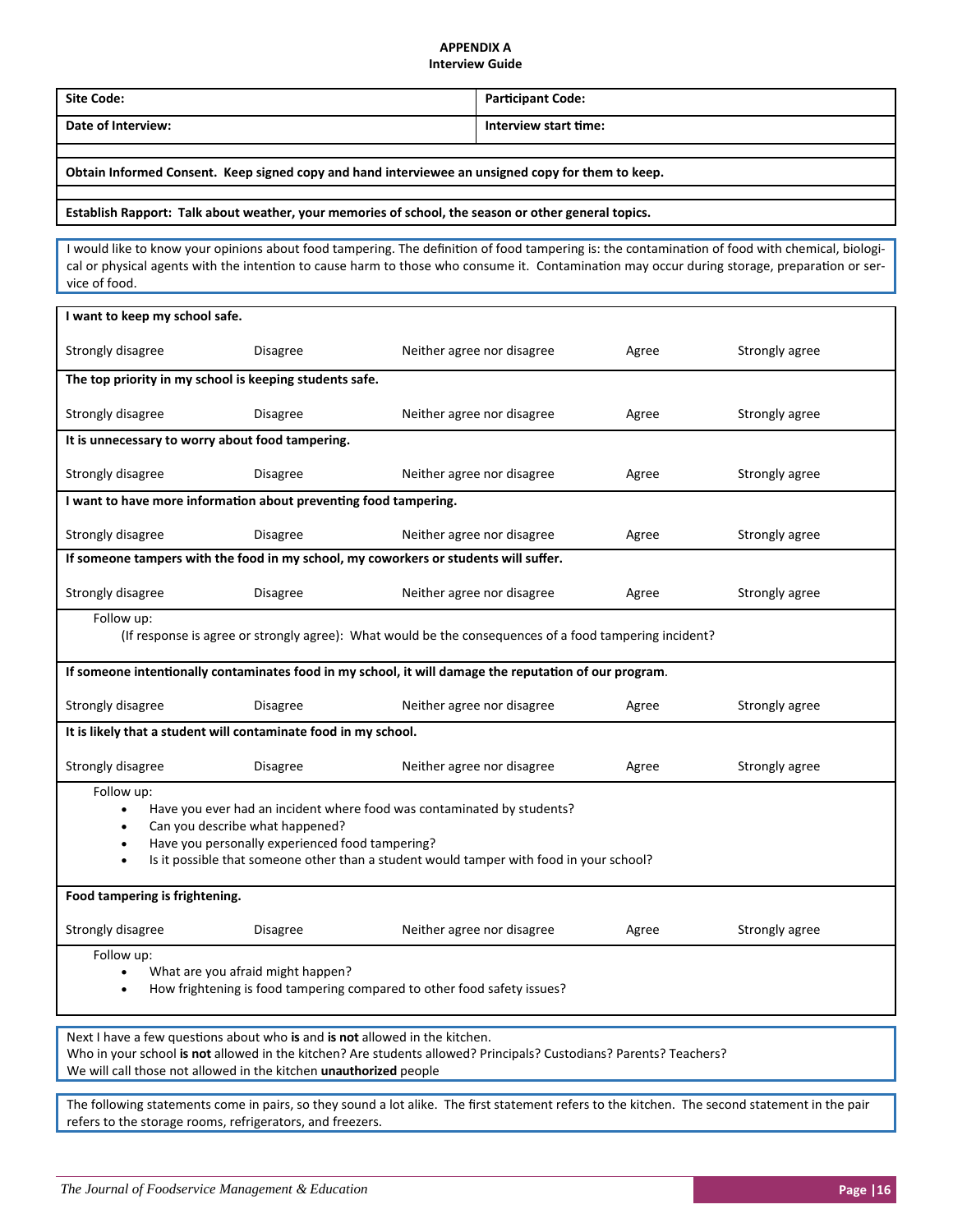# **APPENDIX A**

# **Interview Guide**

| <b>Site Code:</b>                                                                                                                                                                                                                                                                                                |                                        | <b>Participant Code:</b>            |                            |                |                |  |  |
|------------------------------------------------------------------------------------------------------------------------------------------------------------------------------------------------------------------------------------------------------------------------------------------------------------------|----------------------------------------|-------------------------------------|----------------------------|----------------|----------------|--|--|
| Date of Interview:                                                                                                                                                                                                                                                                                               |                                        | Interview start time:               |                            |                |                |  |  |
|                                                                                                                                                                                                                                                                                                                  |                                        |                                     |                            |                |                |  |  |
| Obtain Informed Consent. Keep signed copy and hand interviewee an unsigned copy for them to keep.                                                                                                                                                                                                                |                                        |                                     |                            |                |                |  |  |
| Establish Rapport: Talk about weather, your memories of school, the season or other general topics.                                                                                                                                                                                                              |                                        |                                     |                            |                |                |  |  |
| I would like to know your opinions about food tampering. The definition of food tampering is: the contamination of food with chemical, biologi-<br>cal or physical agents with the intention to cause harm to those who consume it. Contamination may occur during storage, preparation or ser-<br>vice of food. |                                        |                                     |                            |                |                |  |  |
| I want to keep my school safe.                                                                                                                                                                                                                                                                                   |                                        |                                     |                            |                |                |  |  |
| Strongly disagree                                                                                                                                                                                                                                                                                                | Disagree<br>Neither agree nor disagree |                                     |                            | Agree          | Strongly agree |  |  |
| The top priority in my school is keeping students safe.                                                                                                                                                                                                                                                          |                                        |                                     |                            |                |                |  |  |
| Strongly disagree                                                                                                                                                                                                                                                                                                | <b>Disagree</b>                        |                                     | Neither agree nor disagree | Agree          | Strongly agree |  |  |
| It is unnecessary to worry about food tampering.                                                                                                                                                                                                                                                                 |                                        |                                     |                            |                |                |  |  |
| Strongly disagree                                                                                                                                                                                                                                                                                                | <b>Disagree</b>                        |                                     | Neither agree nor disagree | Agree          | Strongly agree |  |  |
| I want to have more information about preventing food tampering.                                                                                                                                                                                                                                                 |                                        |                                     |                            |                |                |  |  |
| Strongly disagree                                                                                                                                                                                                                                                                                                | <b>Disagree</b>                        |                                     | Neither agree nor disagree | Agree          | Strongly agree |  |  |
| If someone tampers with the food in my school, my coworkers or students will suffer.                                                                                                                                                                                                                             |                                        |                                     |                            |                |                |  |  |
| Strongly disagree<br><b>Disagree</b>                                                                                                                                                                                                                                                                             |                                        | Neither agree nor disagree<br>Agree |                            | Strongly agree |                |  |  |
| Follow up:<br>(If response is agree or strongly agree): What would be the consequences of a food tampering incident?                                                                                                                                                                                             |                                        |                                     |                            |                |                |  |  |
| If someone intentionally contaminates food in my school, it will damage the reputation of our program.                                                                                                                                                                                                           |                                        |                                     |                            |                |                |  |  |
| Strongly disagree<br><b>Disagree</b>                                                                                                                                                                                                                                                                             |                                        | Neither agree nor disagree          | Agree                      | Strongly agree |                |  |  |
| It is likely that a student will contaminate food in my school.                                                                                                                                                                                                                                                  |                                        |                                     |                            |                |                |  |  |
| Strongly disagree                                                                                                                                                                                                                                                                                                | <b>Disagree</b>                        |                                     | Neither agree nor disagree | Agree          | Strongly agree |  |  |
| Follow up:<br>Have you ever had an incident where food was contaminated by students?<br>Can you describe what happened?<br>Have you personally experienced food tampering?<br>Is it possible that someone other than a student would tamper with food in your school?                                            |                                        |                                     |                            |                |                |  |  |
| Food tampering is frightening.                                                                                                                                                                                                                                                                                   |                                        |                                     |                            |                |                |  |  |
| Strongly disagree                                                                                                                                                                                                                                                                                                | Disagree                               |                                     | Neither agree nor disagree | Agree          | Strongly agree |  |  |
| Follow up:<br>What are you afraid might happen?<br>$\bullet$<br>How frightening is food tampering compared to other food safety issues?                                                                                                                                                                          |                                        |                                     |                            |                |                |  |  |
| Next I have a few questions about who is and is not allowed in the kitchen.<br>Who in your school is not allowed in the kitchen? Are students allowed? Principals? Custodians? Parents? Teachers?<br>We will call those not allowed in the kitchen unauthorized people                                           |                                        |                                     |                            |                |                |  |  |
| The following statements come in pairs, so they sound a lot alike. The first statement refers to the kitchen. The second statement in the pair<br>refers to the storage rooms, refrigerators, and freezers.                                                                                                      |                                        |                                     |                            |                |                |  |  |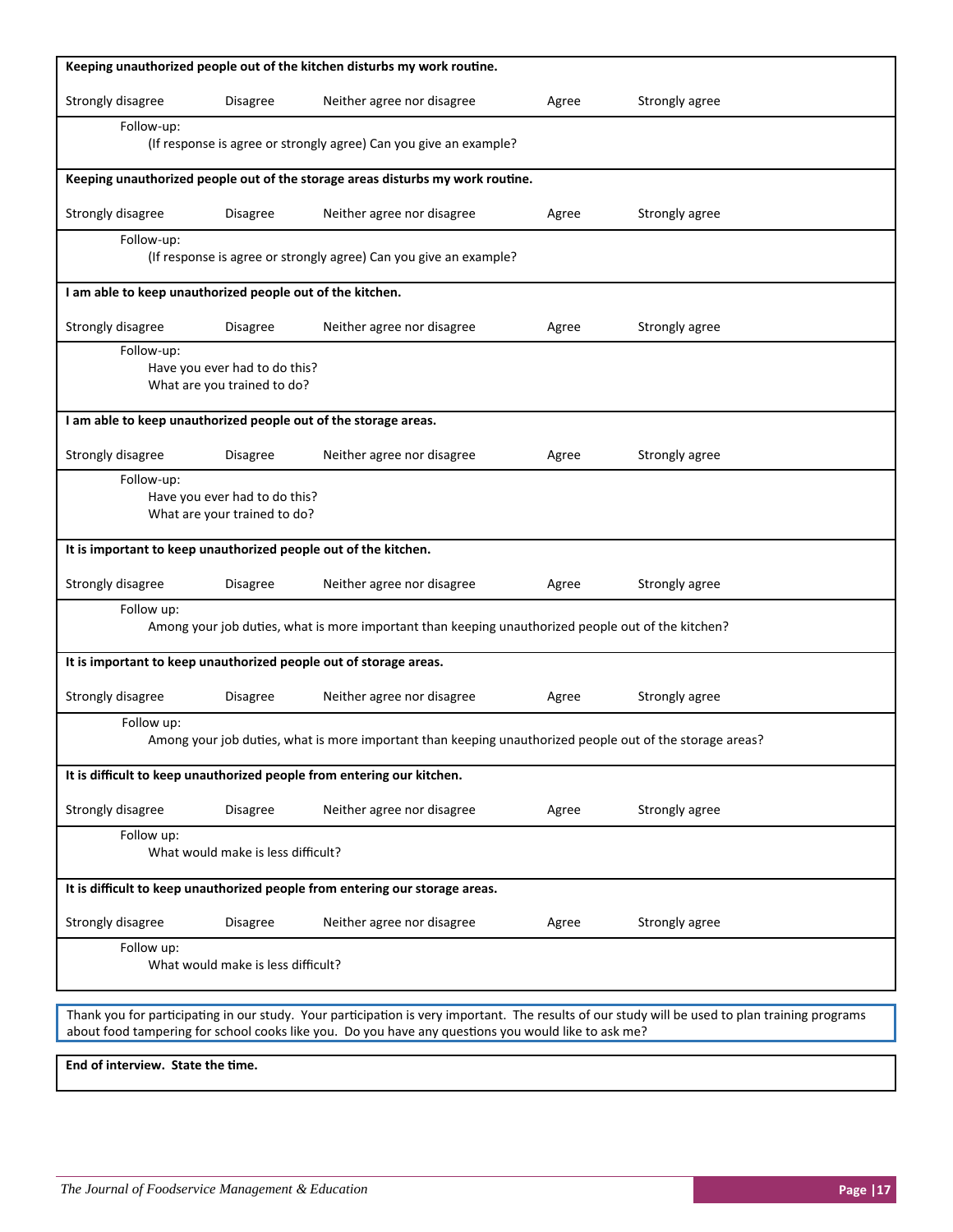| Keeping unauthorized people out of the kitchen disturbs my work routine.                                                                                                                                                                               |                                                                   |                                                                 |       |                |  |  |  |  |
|--------------------------------------------------------------------------------------------------------------------------------------------------------------------------------------------------------------------------------------------------------|-------------------------------------------------------------------|-----------------------------------------------------------------|-------|----------------|--|--|--|--|
| Strongly disagree                                                                                                                                                                                                                                      | <b>Disagree</b>                                                   | Neither agree nor disagree                                      | Agree | Strongly agree |  |  |  |  |
| Follow-up:<br>(If response is agree or strongly agree) Can you give an example?                                                                                                                                                                        |                                                                   |                                                                 |       |                |  |  |  |  |
| Keeping unauthorized people out of the storage areas disturbs my work routine.                                                                                                                                                                         |                                                                   |                                                                 |       |                |  |  |  |  |
| Strongly disagree                                                                                                                                                                                                                                      | <b>Disagree</b>                                                   | Neither agree nor disagree                                      | Agree | Strongly agree |  |  |  |  |
| Follow-up:<br>(If response is agree or strongly agree) Can you give an example?                                                                                                                                                                        |                                                                   |                                                                 |       |                |  |  |  |  |
|                                                                                                                                                                                                                                                        | I am able to keep unauthorized people out of the kitchen.         |                                                                 |       |                |  |  |  |  |
| Strongly disagree                                                                                                                                                                                                                                      | <b>Disagree</b>                                                   | Neither agree nor disagree                                      | Agree | Strongly agree |  |  |  |  |
| Follow-up:<br>Have you ever had to do this?<br>What are you trained to do?                                                                                                                                                                             |                                                                   |                                                                 |       |                |  |  |  |  |
|                                                                                                                                                                                                                                                        |                                                                   | I am able to keep unauthorized people out of the storage areas. |       |                |  |  |  |  |
| Strongly disagree                                                                                                                                                                                                                                      | <b>Disagree</b>                                                   | Neither agree nor disagree                                      | Agree | Strongly agree |  |  |  |  |
| Follow-up:<br>Have you ever had to do this?<br>What are your trained to do?                                                                                                                                                                            |                                                                   |                                                                 |       |                |  |  |  |  |
| It is important to keep unauthorized people out of the kitchen.                                                                                                                                                                                        |                                                                   |                                                                 |       |                |  |  |  |  |
| Strongly disagree                                                                                                                                                                                                                                      | <b>Disagree</b>                                                   | Neither agree nor disagree                                      | Agree | Strongly agree |  |  |  |  |
| Follow up:<br>Among your job duties, what is more important than keeping unauthorized people out of the kitchen?                                                                                                                                       |                                                                   |                                                                 |       |                |  |  |  |  |
|                                                                                                                                                                                                                                                        | It is important to keep unauthorized people out of storage areas. |                                                                 |       |                |  |  |  |  |
| Strongly disagree                                                                                                                                                                                                                                      | Disagree                                                          | Neither agree nor disagree                                      | Agree | Strongly agree |  |  |  |  |
| Follow up:<br>Among your job duties, what is more important than keeping unauthorized people out of the storage areas?                                                                                                                                 |                                                                   |                                                                 |       |                |  |  |  |  |
| It is difficult to keep unauthorized people from entering our kitchen.                                                                                                                                                                                 |                                                                   |                                                                 |       |                |  |  |  |  |
| Strongly disagree                                                                                                                                                                                                                                      | <b>Disagree</b>                                                   | Neither agree nor disagree                                      | Agree | Strongly agree |  |  |  |  |
| Follow up:<br>What would make is less difficult?                                                                                                                                                                                                       |                                                                   |                                                                 |       |                |  |  |  |  |
| It is difficult to keep unauthorized people from entering our storage areas.                                                                                                                                                                           |                                                                   |                                                                 |       |                |  |  |  |  |
| Strongly disagree                                                                                                                                                                                                                                      | <b>Disagree</b>                                                   | Neither agree nor disagree                                      | Agree | Strongly agree |  |  |  |  |
| Follow up:<br>What would make is less difficult?                                                                                                                                                                                                       |                                                                   |                                                                 |       |                |  |  |  |  |
| Thank you for participating in our study. Your participation is very important. The results of our study will be used to plan training programs<br>about food tampering for school cooks like you. Do you have any questions you would like to ask me? |                                                                   |                                                                 |       |                |  |  |  |  |
| End of interview. State the time.                                                                                                                                                                                                                      |                                                                   |                                                                 |       |                |  |  |  |  |